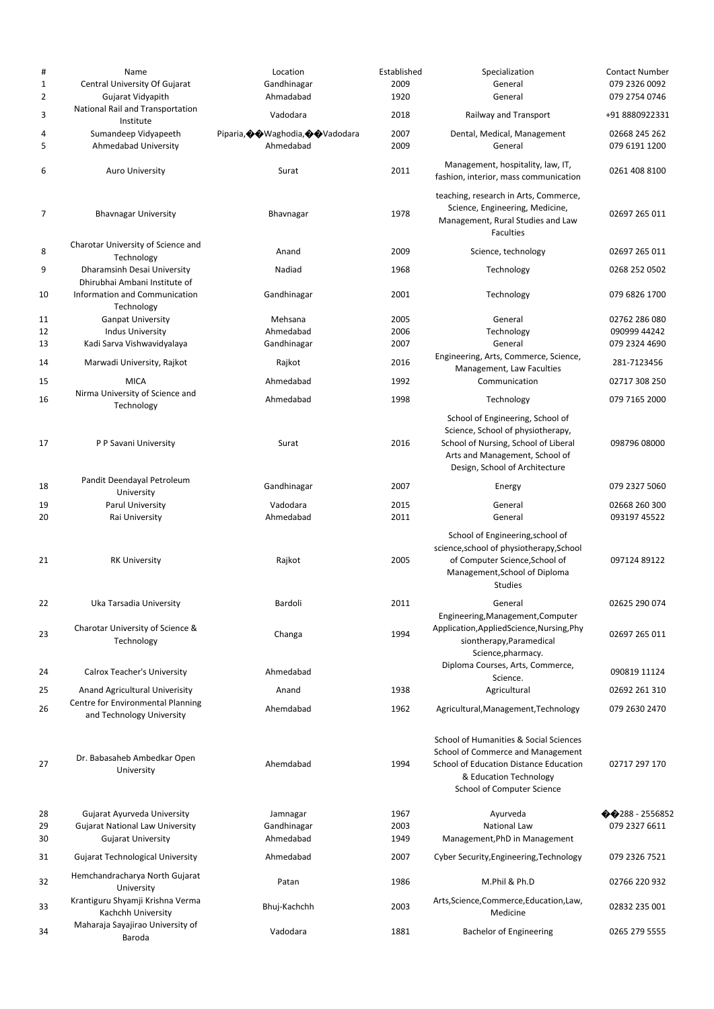| #              | Name                                                         | Location                          | Established | Specialization                                                                                                                                                                    | <b>Contact Number</b>    |
|----------------|--------------------------------------------------------------|-----------------------------------|-------------|-----------------------------------------------------------------------------------------------------------------------------------------------------------------------------------|--------------------------|
| $\mathbf 1$    | Central University Of Gujarat                                | Gandhinagar                       | 2009        | General                                                                                                                                                                           | 079 2326 0092            |
| $\overline{2}$ | Gujarat Vidyapith                                            | Ahmadabad                         | 1920        | General                                                                                                                                                                           | 079 2754 0746            |
| 3              | National Rail and Transportation<br>Institute                | Vadodara                          | 2018        | Railway and Transport                                                                                                                                                             | +91 8880922331           |
| 4              | Sumandeep Vidyapeeth                                         | Piparia, �� Waghodia, �� Vadodara | 2007        | Dental, Medical, Management                                                                                                                                                       | 02668 245 262            |
| 5              | Ahmedabad University                                         | Ahmedabad                         | 2009        | General                                                                                                                                                                           | 079 6191 1200            |
| 6              | <b>Auro University</b>                                       | Surat                             | 2011        | Management, hospitality, law, IT,<br>fashion, interior, mass communication                                                                                                        | 0261 408 8100            |
| 7              | <b>Bhavnagar University</b>                                  | Bhavnagar                         | 1978        | teaching, research in Arts, Commerce,<br>Science, Engineering, Medicine,<br>Management, Rural Studies and Law                                                                     | 02697 265 011            |
|                | Charotar University of Science and                           |                                   |             | <b>Faculties</b>                                                                                                                                                                  |                          |
| 8              | Technology                                                   | Anand                             | 2009        | Science, technology                                                                                                                                                               | 02697 265 011            |
| 9              | Dharamsinh Desai University<br>Dhirubhai Ambani Institute of | Nadiad                            | 1968        | Technology                                                                                                                                                                        | 0268 252 0502            |
| 10             | Information and Communication<br>Technology                  | Gandhinagar                       | 2001        | Technology                                                                                                                                                                        | 079 6826 1700            |
| 11             | <b>Ganpat University</b>                                     | Mehsana                           | 2005        | General                                                                                                                                                                           | 02762 286 080            |
| 12             | <b>Indus University</b>                                      | Ahmedabad                         | 2006        | Technology                                                                                                                                                                        | 090999 44242             |
| 13             | Kadi Sarva Vishwavidyalaya                                   | Gandhinagar                       | 2007        | General                                                                                                                                                                           | 079 2324 4690            |
| 14             | Marwadi University, Rajkot                                   | Rajkot                            | 2016        | Engineering, Arts, Commerce, Science,<br>Management, Law Faculties                                                                                                                | 281-7123456              |
| 15             | <b>MICA</b>                                                  | Ahmedabad                         | 1992        | Communication                                                                                                                                                                     | 02717 308 250            |
| 16             | Nirma University of Science and                              | Ahmedabad                         | 1998        | Technology                                                                                                                                                                        | 079 7165 2000            |
|                | Technology                                                   |                                   |             |                                                                                                                                                                                   |                          |
| 17             | P P Savani University                                        | Surat                             | 2016        | School of Engineering, School of<br>Science, School of physiotherapy,<br>School of Nursing, School of Liberal<br>Arts and Management, School of<br>Design, School of Architecture | 098796 08000             |
| 18             | Pandit Deendayal Petroleum                                   | Gandhinagar                       | 2007        | Energy                                                                                                                                                                            | 079 2327 5060            |
| 19             | University<br>Parul University                               | Vadodara                          | 2015        | General                                                                                                                                                                           | 02668 260 300            |
| 20             | Rai University                                               | Ahmedabad                         | 2011        | General                                                                                                                                                                           | 093197 45522             |
| 21             | <b>RK University</b>                                         | Rajkot                            | 2005        | School of Engineering, school of<br>science, school of physiotherapy, School<br>of Computer Science, School of<br>Management, School of Diploma<br><b>Studies</b>                 | 097124 89122             |
| 22             | Uka Tarsadia University                                      | Bardoli                           | 2011        | General<br>Engineering, Management, Computer                                                                                                                                      | 02625 290 074            |
| 23             | Charotar University of Science &<br>Technology               | Changa                            | 1994        | Application, Applied Science, Nursing, Phy<br>siontherapy, Paramedical<br>Science, pharmacy.                                                                                      | 02697 265 011            |
| 24             | Calrox Teacher's University                                  | Ahmedabad                         |             | Diploma Courses, Arts, Commerce,<br>Science.                                                                                                                                      | 090819 11124             |
| 25             | Anand Agricultural Univerisity                               | Anand                             | 1938        | Agricultural                                                                                                                                                                      | 02692 261 310            |
| 26             | Centre for Environmental Planning                            | Ahemdabad                         | 1962        | Agricultural, Management, Technology                                                                                                                                              | 079 2630 2470            |
|                | and Technology University                                    |                                   |             |                                                                                                                                                                                   |                          |
| 27             | Dr. Babasaheb Ambedkar Open<br>University                    | Ahemdabad                         | 1994        | School of Humanities & Social Sciences<br>School of Commerce and Management<br>School of Education Distance Education<br>& Education Technology<br>School of Computer Science     | 02717 297 170            |
| 28             | Gujarat Ayurveda University                                  | Jamnagar                          | 1967        | Ayurveda                                                                                                                                                                          | $\bigcirc$ 288 - 2556852 |
| 29             | <b>Gujarat National Law University</b>                       | Gandhinagar                       | 2003        | National Law                                                                                                                                                                      | 079 2327 6611            |
| 30             | <b>Gujarat University</b>                                    | Ahmedabad                         | 1949        | Management, PhD in Management                                                                                                                                                     |                          |
| 31             | <b>Gujarat Technological University</b>                      | Ahmedabad                         | 2007        | Cyber Security, Engineering, Technology                                                                                                                                           | 079 2326 7521            |
| 32             | Hemchandracharya North Gujarat<br>University                 | Patan                             | 1986        | M.Phil & Ph.D                                                                                                                                                                     | 02766 220 932            |
| 33             | Krantiguru Shyamji Krishna Verma<br>Kachchh University       | Bhuj-Kachchh                      | 2003        | Arts, Science, Commerce, Education, Law,<br>Medicine                                                                                                                              | 02832 235 001            |
| 34             | Maharaja Sayajirao University of<br>Baroda                   | Vadodara                          | 1881        | <b>Bachelor of Engineering</b>                                                                                                                                                    | 0265 279 5555            |